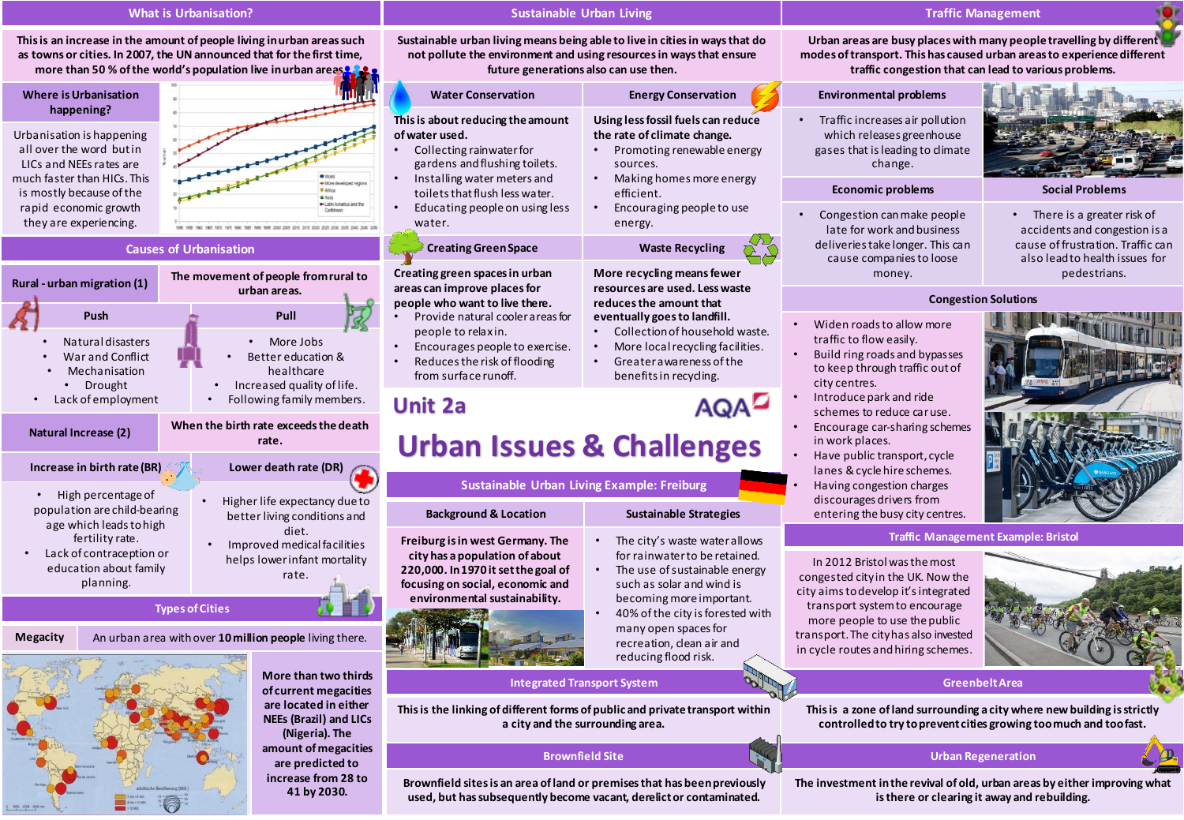## **What is Urbanisation?**

**This is an increase in the amount of people living in urban areas such as towns or cities. In 2007, the UN announced that for the first time, more than 50 % of the world's population live in urban areas**.

| Urbanisation is happening<br>all over the word but in<br>LICs and NEEs rates are<br>much faster than HICs. This<br>is mostly because of the<br>rapid economic growth<br>they are experiencing. | $\mathbb{R}$                  |  |
|------------------------------------------------------------------------------------------------------------------------------------------------------------------------------------------------|-------------------------------|--|
|                                                                                                                                                                                                | <b>P</b> Afric<br>Caribba     |  |
|                                                                                                                                                                                                | <b>Causes of Urbanisation</b> |  |





**More than two thirds of current megacities are located in either NEEs (Brazil) and LICs (Nigeria). The amount of megacities are predicted to increase from 28 to 41 by 2030.**

### **Sustainable Urban Living**

**Sustainable urban living means being able to live in cities in ways that do not pollute the environment and using resources in ways that ensure future generations also can use then.** 

**Water Conservation Energy Conservation This is about reducing the amount of water used.**  • Collecting rainwater for gardens and flushing toilets. • Installing water meters and toilets that flush less water. • Educating people on using less water. **Using less fossil fuels can reduce the rate of climate change.** • Promoting renewable energy sources. • Making homes more energy efficient. • Encouraging people to use energy. **Creating Green Space Waste Recycling** 

> **More recycling means fewer resources are used. Less waste reduces the amount that eventually goes to landfill.** • Collection of household waste. • More local recycling facilities. • Greater awareness of the benefits in recycling.

> > The city's waste water allows for rainwater to be retained. The use of sustainable energy such as solar and wind is becoming more important. • 40% of the city is forested with many open spaces for recreation, clean air and reducing flood risk.

**AQAD** 

## **Creating green spaces in urban areas can improve places for people who want to live there.**

- Provide natural cooler areas for people to relax in.
- Encourages people to exercise. • Reduces the risk of flooding from surface runoff.

# **Unit 2a**



**Sustainable Urban Living Example: Freiburg**

**Brownfield sites is an area of land or premises that has been previously used, but has subsequently become vacant, derelict or contaminated.** 

## **Traffic Management**

**Urban areas are busy places with many people travelling by different modes of transport. This has caused urban areas to experience different traffic congestion that can lead to various problems.** 

## **Environmental problems** • Traffic increases air pollution which releases greenhouse gases that is leading to climate change.

## **Economic problems Social Problems**

• There is a greater risk of accidents and congestion is a cause of frustration. Traffic can also lead to health issues for pedestrians.

## **Congestion Solutions**

• Widen roads to allow more traffic to flow easily.

• Congestion can make people late for work and business deliveries take longer. This can cause companies to loose money.

- Build ring roads and bypasses to keep through traffic out of city centres.
- Introduce park and ride schemes to reduce car use.
- Encourage car-sharing schemes in work places.
- Have public transport, cycle lanes & cycle hire schemes.
- Having congestion charges discourages drivers from entering the busy city centres.

#### **Traffic Management Example: Bristol**

In 2012 Bristol was the most congested city in the UK. Now the city aims to develop it's integrated transport system to encourage more people to use the public transport. The city has also invested in cycle routes and hiring schemes.



## **Integrated Transport System <b>Greenbelt Area Greenbelt Area**

**This is a zone of land surrounding a city where new building is strictly controlled to try to prevent cities growing too much and too fast.**

## **Brownfield Site Urban Regeneration**

**The investment in the revival of old, urban areas by either improving what is there or clearing it away and rebuilding.**